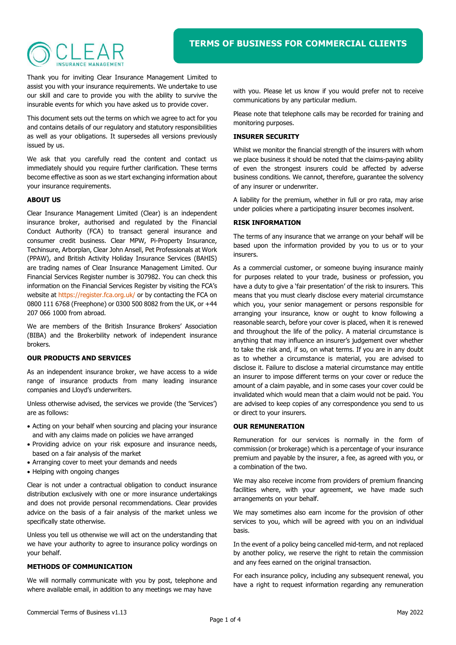# $H + \Delta$

Thank you for inviting Clear Insurance Management Limited to assist you with your insurance requirements. We undertake to use our skill and care to provide you with the ability to survive the insurable events for which you have asked us to provide cover.

This document sets out the terms on which we agree to act for you and contains details of our regulatory and statutory responsibilities as well as your obligations. It supersedes all versions previously issued by us.

We ask that you carefully read the content and contact us immediately should you require further clarification. These terms become effective as soon as we start exchanging information about your insurance requirements.

#### ABOUT US

Clear Insurance Management Limited (Clear) is an independent insurance broker, authorised and regulated by the Financial Conduct Authority (FCA) to transact general insurance and consumer credit business. Clear MPW, Pi-Property Insurance, Techinsure, Arborplan, Clear John Ansell, Pet Professionals at Work (PPAW), and British Activity Holiday Insurance Services (BAHIS) are trading names of Clear Insurance Management Limited. Our Financial Services Register number is 307982. You can check this information on the Financial Services Register by visiting the FCA's website at https://register.fca.org.uk/ or by contacting the FCA on 0800 111 6768 (Freephone) or 0300 500 8082 from the UK, or +44 207 066 1000 from abroad.

We are members of the British Insurance Brokers' Association (BIBA) and the Brokerbility network of independent insurance brokers.

## OUR PRODUCTS AND SERVICES

As an independent insurance broker, we have access to a wide range of insurance products from many leading insurance companies and Lloyd's underwriters.

Unless otherwise advised, the services we provide (the 'Services') are as follows:

- Acting on your behalf when sourcing and placing your insurance and with any claims made on policies we have arranged
- Providing advice on your risk exposure and insurance needs, based on a fair analysis of the market
- Arranging cover to meet your demands and needs
- Helping with ongoing changes

Clear is not under a contractual obligation to conduct insurance distribution exclusively with one or more insurance undertakings and does not provide personal recommendations. Clear provides advice on the basis of a fair analysis of the market unless we specifically state otherwise.

Unless you tell us otherwise we will act on the understanding that we have your authority to agree to insurance policy wordings on your behalf.

## METHODS OF COMMUNICATION

We will normally communicate with you by post, telephone and where available email, in addition to any meetings we may have

with you. Please let us know if you would prefer not to receive communications by any particular medium.

Please note that telephone calls may be recorded for training and monitoring purposes.

#### INSURER SECURITY

Whilst we monitor the financial strength of the insurers with whom we place business it should be noted that the claims-paying ability of even the strongest insurers could be affected by adverse business conditions. We cannot, therefore, guarantee the solvency of any insurer or underwriter.

A liability for the premium, whether in full or pro rata, may arise under policies where a participating insurer becomes insolvent.

#### RISK INFORMATION

The terms of any insurance that we arrange on your behalf will be based upon the information provided by you to us or to your insurers.

As a commercial customer, or someone buying insurance mainly for purposes related to your trade, business or profession, you have a duty to give a 'fair presentation' of the risk to insurers. This means that you must clearly disclose every material circumstance which you, your senior management or persons responsible for arranging your insurance, know or ought to know following a reasonable search, before your cover is placed, when it is renewed and throughout the life of the policy. A material circumstance is anything that may influence an insurer's judgement over whether to take the risk and, if so, on what terms. If you are in any doubt as to whether a circumstance is material, you are advised to disclose it. Failure to disclose a material circumstance may entitle an insurer to impose different terms on your cover or reduce the amount of a claim payable, and in some cases your cover could be invalidated which would mean that a claim would not be paid. You are advised to keep copies of any correspondence you send to us or direct to your insurers.

## OUR REMUNERATION

Remuneration for our services is normally in the form of commission (or brokerage) which is a percentage of your insurance premium and payable by the insurer, a fee, as agreed with you, or a combination of the two.

We may also receive income from providers of premium financing facilities where, with your agreement, we have made such arrangements on your behalf.

We may sometimes also earn income for the provision of other services to you, which will be agreed with you on an individual basis.

In the event of a policy being cancelled mid-term, and not replaced by another policy, we reserve the right to retain the commission and any fees earned on the original transaction.

For each insurance policy, including any subsequent renewal, you have a right to request information regarding any remuneration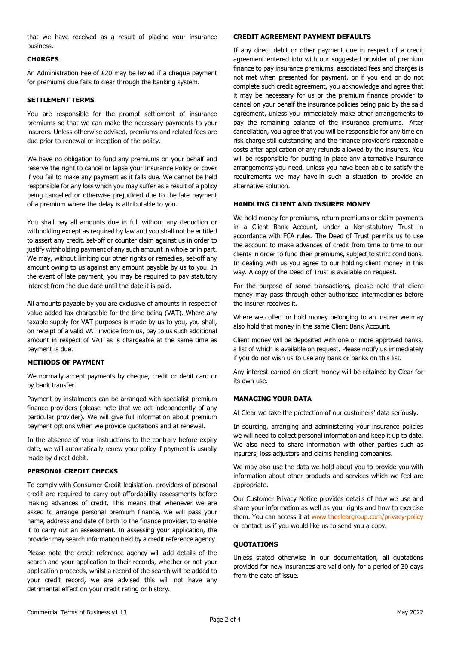that we have received as a result of placing your insurance business.

## **CHARGES**

An Administration Fee of £20 may be levied if a cheque payment for premiums due fails to clear through the banking system.

### SETTLEMENT TERMS

You are responsible for the prompt settlement of insurance premiums so that we can make the necessary payments to your insurers. Unless otherwise advised, premiums and related fees are due prior to renewal or inception of the policy.

We have no obligation to fund any premiums on your behalf and reserve the right to cancel or lapse your Insurance Policy or cover if you fail to make any payment as it falls due. We cannot be held responsible for any loss which you may suffer as a result of a policy being cancelled or otherwise prejudiced due to the late payment of a premium where the delay is attributable to you.

You shall pay all amounts due in full without any deduction or withholding except as required by law and you shall not be entitled to assert any credit, set-off or counter claim against us in order to justify withholding payment of any such amount in whole or in part. We may, without limiting our other rights or remedies, set-off any amount owing to us against any amount payable by us to you. In the event of late payment, you may be required to pay statutory interest from the due date until the date it is paid.

All amounts payable by you are exclusive of amounts in respect of value added tax chargeable for the time being (VAT). Where any taxable supply for VAT purposes is made by us to you, you shall, on receipt of a valid VAT invoice from us, pay to us such additional amount in respect of VAT as is chargeable at the same time as payment is due.

#### METHODS OF PAYMENT

We normally accept payments by cheque, credit or debit card or by bank transfer.

Payment by instalments can be arranged with specialist premium finance providers (please note that we act independently of any particular provider). We will give full information about premium payment options when we provide quotations and at renewal.

In the absence of your instructions to the contrary before expiry date, we will automatically renew your policy if payment is usually made by direct debit.

## PERSONAL CREDIT CHECKS

To comply with Consumer Credit legislation, providers of personal credit are required to carry out affordability assessments before making advances of credit. This means that whenever we are asked to arrange personal premium finance, we will pass your name, address and date of birth to the finance provider, to enable it to carry out an assessment. In assessing your application, the provider may search information held by a credit reference agency.

Please note the credit reference agency will add details of the search and your application to their records, whether or not your application proceeds, whilst a record of the search will be added to your credit record, we are advised this will not have any detrimental effect on your credit rating or history.

#### CREDIT AGREEMENT PAYMENT DEFAULTS

If any direct debit or other payment due in respect of a credit agreement entered into with our suggested provider of premium finance to pay insurance premiums, associated fees and charges is not met when presented for payment, or if you end or do not complete such credit agreement, you acknowledge and agree that it may be necessary for us or the premium finance provider to cancel on your behalf the insurance policies being paid by the said agreement, unless you immediately make other arrangements to pay the remaining balance of the insurance premiums. After cancellation, you agree that you will be responsible for any time on risk charge still outstanding and the finance provider's reasonable costs after application of any refunds allowed by the insurers. You will be responsible for putting in place any alternative insurance arrangements you need, unless you have been able to satisfy the requirements we may have in such a situation to provide an alternative solution.

#### HANDLING CLIENT AND INSURER MONEY

We hold money for premiums, return premiums or claim payments in a Client Bank Account, under a Non-statutory Trust in accordance with FCA rules. The Deed of Trust permits us to use the account to make advances of credit from time to time to our clients in order to fund their premiums, subject to strict conditions. In dealing with us you agree to our holding client money in this way. A copy of the Deed of Trust is available on request.

For the purpose of some transactions, please note that client money may pass through other authorised intermediaries before the insurer receives it.

Where we collect or hold money belonging to an insurer we may also hold that money in the same Client Bank Account.

Client money will be deposited with one or more approved banks, a list of which is available on request. Please notify us immediately if you do not wish us to use any bank or banks on this list.

Any interest earned on client money will be retained by Clear for its own use.

## MANAGING YOUR DATA

At Clear we take the protection of our customers' data seriously.

In sourcing, arranging and administering your insurance policies we will need to collect personal information and keep it up to date. We also need to share information with other parties such as insurers, loss adjustors and claims handling companies.

We may also use the data we hold about you to provide you with information about other products and services which we feel are appropriate.

Our Customer Privacy Notice provides details of how we use and share your information as well as your rights and how to exercise them. You can access it at www.thecleargroup.com/privacy-policy or contact us if you would like us to send you a copy.

#### **OUOTATIONS**

Unless stated otherwise in our documentation, all quotations provided for new insurances are valid only for a period of 30 days from the date of issue.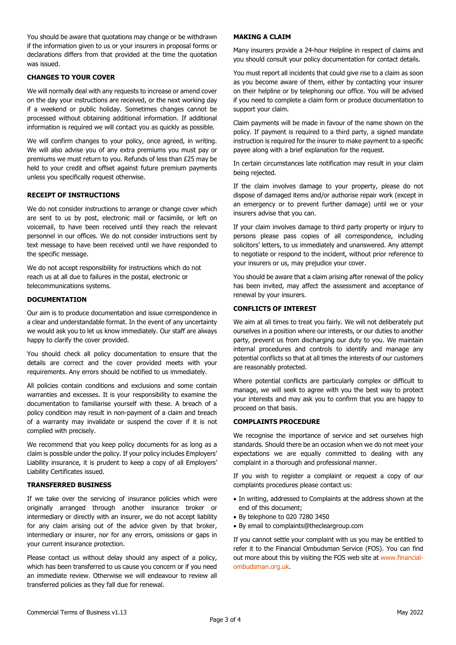You should be aware that quotations may change or be withdrawn if the information given to us or your insurers in proposal forms or declarations differs from that provided at the time the quotation was issued.

## CHANGES TO YOUR COVER

We will normally deal with any requests to increase or amend cover on the day your instructions are received, or the next working day if a weekend or public holiday. Sometimes changes cannot be processed without obtaining additional information. If additional information is required we will contact you as quickly as possible.

We will confirm changes to your policy, once agreed, in writing. We will also advise you of any extra premiums you must pay or premiums we must return to you. Refunds of less than £25 may be held to your credit and offset against future premium payments unless you specifically request otherwise.

#### RECEIPT OF INSTRUCTIONS

We do not consider instructions to arrange or change cover which are sent to us by post, electronic mail or facsimile, or left on voicemail, to have been received until they reach the relevant personnel in our offices. We do not consider instructions sent by text message to have been received until we have responded to the specific message.

We do not accept responsibility for instructions which do not reach us at all due to failures in the postal, electronic or telecommunications systems.

## **DOCUMENTATION**

Our aim is to produce documentation and issue correspondence in a clear and understandable format. In the event of any uncertainty we would ask you to let us know immediately. Our staff are always happy to clarify the cover provided.

You should check all policy documentation to ensure that the details are correct and the cover provided meets with your requirements. Any errors should be notified to us immediately.

All policies contain conditions and exclusions and some contain warranties and excesses. It is your responsibility to examine the documentation to familiarise yourself with these. A breach of a policy condition may result in non-payment of a claim and breach of a warranty may invalidate or suspend the cover if it is not complied with precisely.

We recommend that you keep policy documents for as long as a claim is possible under the policy. If your policy includes Employers' Liability insurance, it is prudent to keep a copy of all Employers' Liability Certificates issued.

## TRANSFERRED BUSINESS

If we take over the servicing of insurance policies which were originally arranged through another insurance broker or intermediary or directly with an insurer, we do not accept liability for any claim arising out of the advice given by that broker, intermediary or insurer, nor for any errors, omissions or gaps in your current insurance protection.

Please contact us without delay should any aspect of a policy, which has been transferred to us cause you concern or if you need an immediate review. Otherwise we will endeavour to review all transferred policies as they fall due for renewal.

#### MAKING A CLAIM

Many insurers provide a 24-hour Helpline in respect of claims and you should consult your policy documentation for contact details.

You must report all incidents that could give rise to a claim as soon as you become aware of them, either by contacting your insurer on their helpline or by telephoning our office. You will be advised if you need to complete a claim form or produce documentation to support your claim.

Claim payments will be made in favour of the name shown on the policy. If payment is required to a third party, a signed mandate instruction is required for the insurer to make payment to a specific payee along with a brief explanation for the request.

In certain circumstances late notification may result in your claim being rejected.

If the claim involves damage to your property, please do not dispose of damaged items and/or authorise repair work (except in an emergency or to prevent further damage) until we or your insurers advise that you can.

If your claim involves damage to third party property or injury to persons please pass copies of all correspondence, including solicitors' letters, to us immediately and unanswered. Any attempt to negotiate or respond to the incident, without prior reference to your insurers or us, may prejudice your cover.

You should be aware that a claim arising after renewal of the policy has been invited, may affect the assessment and acceptance of renewal by your insurers.

## CONFLICTS OF INTEREST

We aim at all times to treat you fairly. We will not deliberately put ourselves in a position where our interests, or our duties to another party, prevent us from discharging our duty to you. We maintain internal procedures and controls to identify and manage any potential conflicts so that at all times the interests of our customers are reasonably protected.

Where potential conflicts are particularly complex or difficult to manage, we will seek to agree with you the best way to protect your interests and may ask you to confirm that you are happy to proceed on that basis.

## COMPLAINTS PROCEDURE

We recognise the importance of service and set ourselves high standards. Should there be an occasion when we do not meet your expectations we are equally committed to dealing with any complaint in a thorough and professional manner.

If you wish to register a complaint or request a copy of our complaints procedures please contact us:

- In writing, addressed to Complaints at the address shown at the end of this document;
- By telephone to 020 7280 3450
- By email to complaints@thecleargroup.com

If you cannot settle your complaint with us you may be entitled to refer it to the Financial Ombudsman Service (FOS). You can find out more about this by visiting the FOS web site at www.financialombudsman.org.uk.